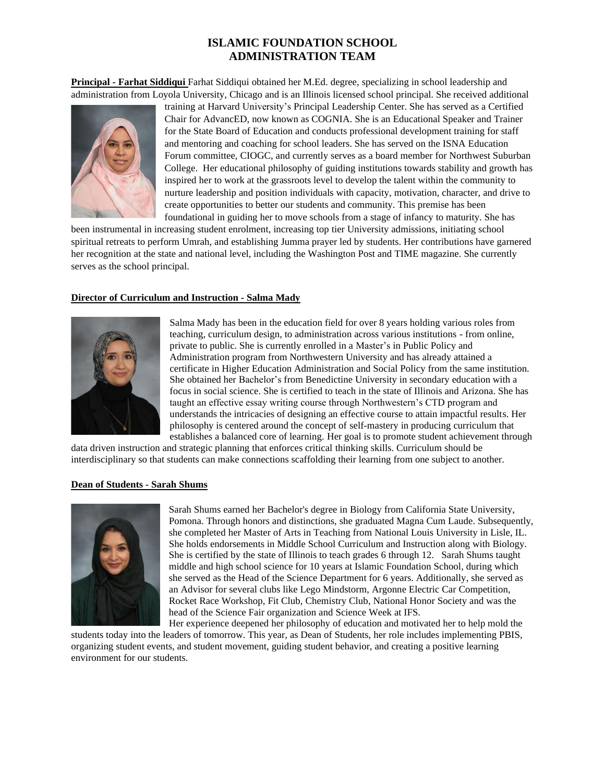# **ISLAMIC FOUNDATION SCHOOL ADMINISTRATION TEAM**

**Principal - Farhat Siddiqui** Farhat Siddiqui obtained her M.Ed. degree, specializing in school leadership and administration from Loyola University, Chicago and is an Illinois licensed school principal. She received additional



training at Harvard University's Principal Leadership Center. She has served as a Certified Chair for AdvancED, now known as COGNIA. She is an Educational Speaker and Trainer for the State Board of Education and conducts professional development training for staff and mentoring and coaching for school leaders. She has served on the ISNA Education Forum committee, CIOGC, and currently serves as a board member for Northwest Suburban College. Her educational philosophy of guiding institutions towards stability and growth has inspired her to work at the grassroots level to develop the talent within the community to nurture leadership and position individuals with capacity, motivation, character, and drive to create opportunities to better our students and community. This premise has been foundational in guiding her to move schools from a stage of infancy to maturity. She has

been instrumental in increasing student enrolment, increasing top tier University admissions, initiating school spiritual retreats to perform Umrah, and establishing Jumma prayer led by students. Her contributions have garnered her recognition at the state and national level, including the Washington Post and TIME magazine. She currently serves as the school principal.

#### **Director of Curriculum and Instruction - Salma Mady**



Salma Mady has been in the education field for over 8 years holding various roles from teaching, curriculum design, to administration across various institutions - from online, private to public. She is currently enrolled in a Master's in Public Policy and Administration program from Northwestern University and has already attained a certificate in Higher Education Administration and Social Policy from the same institution. She obtained her Bachelor's from Benedictine University in secondary education with a focus in social science. She is certified to teach in the state of Illinois and Arizona. She has taught an effective essay writing course through Northwestern's CTD program and understands the intricacies of designing an effective course to attain impactful results. Her philosophy is centered around the concept of self-mastery in producing curriculum that establishes a balanced core of learning. Her goal is to promote student achievement through

data driven instruction and strategic planning that enforces critical thinking skills. Curriculum should be interdisciplinary so that students can make connections scaffolding their learning from one subject to another.

### **Dean of Students - Sarah Shums**



Sarah Shums earned her Bachelor's degree in Biology from California State University, Pomona. Through honors and distinctions, she graduated Magna Cum Laude. Subsequently, she completed her Master of Arts in Teaching from National Louis University in Lisle, IL. She holds endorsements in Middle School Curriculum and Instruction along with Biology. She is certified by the state of Illinois to teach grades 6 through 12. Sarah Shums taught middle and high school science for 10 years at Islamic Foundation School, during which she served as the Head of the Science Department for 6 years. Additionally, she served as an Advisor for several clubs like Lego Mindstorm, Argonne Electric Car Competition, Rocket Race Workshop, Fit Club, Chemistry Club, National Honor Society and was the head of the Science Fair organization and Science Week at IFS.

Her experience deepened her philosophy of education and motivated her to help mold the students today into the leaders of tomorrow. This year, as Dean of Students, her role includes implementing PBIS, organizing student events, and student movement, guiding student behavior, and creating a positive learning environment for our students.